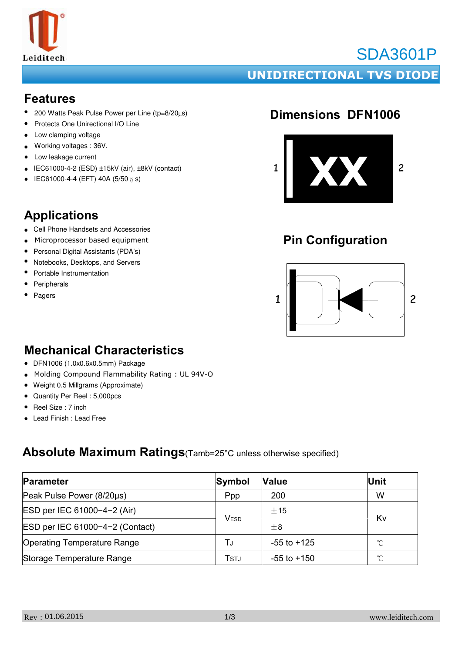

# SDA3601P

### **UNIDIRECTIONAL TVS DIODE**

#### **Features**

- 200 Watts Peak Pulse Power per Line (tp=8/20µs)
- Protects One Unirectional I/O Line
- Low clamping voltage
- Working voltages : 36V.
- ● Low leakage current
- $\bullet$  IEC61000-4-2 (ESD)  $\pm$ 15kV (air),  $\pm$ 8kV (contact)
- IEC61000-4-4 (EFT) 40A (5/50  $\eta$  s)

### **Applications**

- Cell Phone Handsets and Accessories
- Microprocessor based equipment
- Personal Digital Assistants (PDA's)
- Notebooks, Desktops, and Servers
- Portable Instrumentation
- Peripherals
- Pagers

### **Dimensions DFN1006**



## **Pin Configuration**



### **Mechanical Characteristics**

- DFN1006 (1.0x0.6x0.5mm) Package
- $\bullet$ Molding Compound Flammability Rating : UL 94V-O
- Weight 0.5 Millgrams (Approximate)
- Quantity Per Reel : 5,000pcs
- Reel Size : 7 inch
- Lead Finish : Lead Free

### **Absolute Maximum Ratings**(Tamb=25°C unless otherwise specified)

| Parameter                          | Symbol      | <b>Value</b>    | <b>Unit</b>  |  |
|------------------------------------|-------------|-----------------|--------------|--|
| Peak Pulse Power (8/20µs)          | Ppp         | 200             | W            |  |
| ESD per IEC 61000-4-2 (Air)        | <b>VESD</b> | ±15             | Kv           |  |
| ESD per IEC 61000-4-2 (Contact)    |             | $\pm$ 8         |              |  |
| <b>Operating Temperature Range</b> | ТJ          | $-55$ to $+125$ | $^{\circ}$ C |  |
| Storage Temperature Range          | Tstj        | $-55$ to $+150$ | $^{\circ}$ C |  |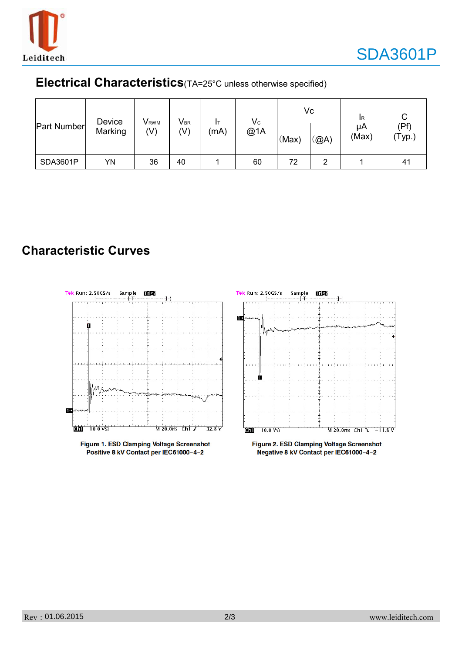

### **Electrical Characteristics**(TA=25°C unless otherwise specified)

| <b>Part Number</b> | Device<br>Marking | <b>V</b> <sub>RWM</sub><br>$(\mathsf{V})$ | $\mathsf{V}_{\texttt{BR}}$<br>(V) | (mA) | $\mathsf{V}_{\mathsf{C}}$<br>@1A | (Max) | Vc<br>$\mathcal{L}(\mathbb{Q})$ | <b>I</b> R<br>μA<br>(Max) | (Pf)<br>(Typ.) |
|--------------------|-------------------|-------------------------------------------|-----------------------------------|------|----------------------------------|-------|---------------------------------|---------------------------|----------------|
| SDA3601P           | YN                | 36                                        | 40                                |      | 60                               | 72    | 2                               |                           | 41             |

### **Characteristic Curves**